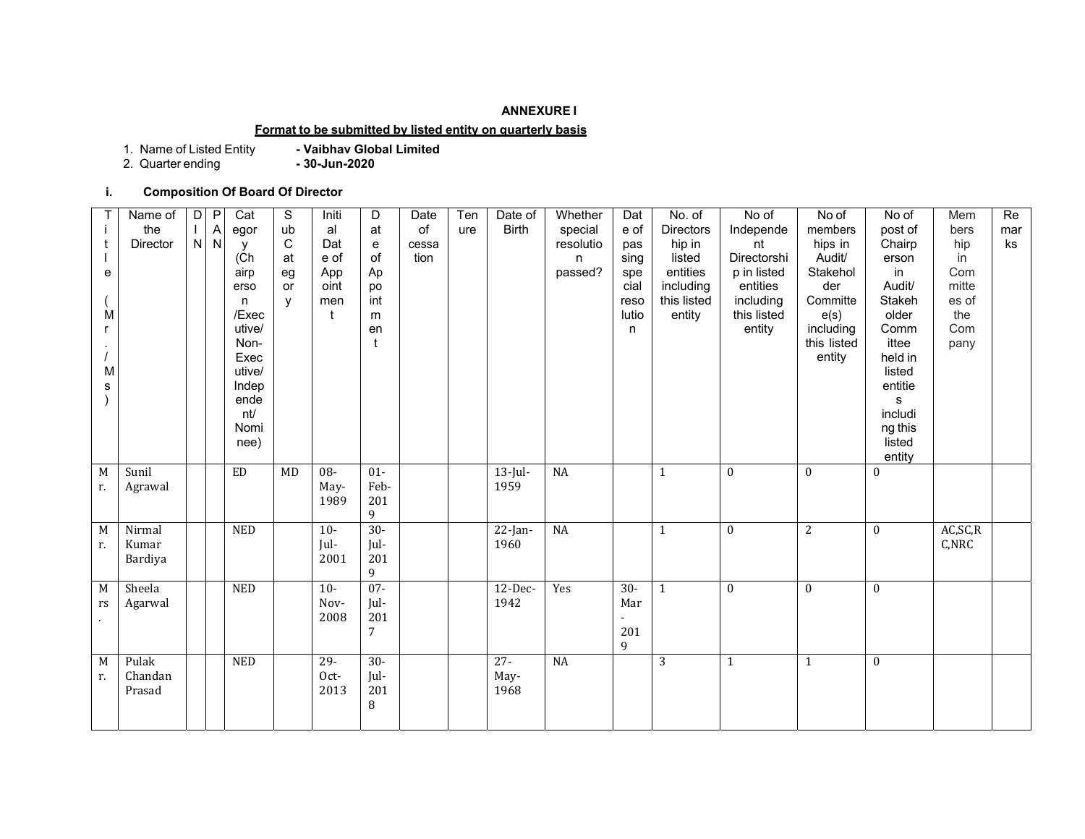#### **ANNEXURE I**

# **Format to be submitted by listed entity on quarterly basis**

1. Name of Listed Entity **- Vaibhav Global Limited**

2. Quarter ending **- 30-Jun-2020**

# **i. Composition Of Board Of Director**

| <b>Birth</b><br>the<br>of<br><b>Directors</b><br>Α<br>ub<br>al<br>at<br>special<br>e of<br>Independe<br>egor<br>ure   | members<br>hips in | post of          | bers      |     |
|-----------------------------------------------------------------------------------------------------------------------|--------------------|------------------|-----------|-----|
|                                                                                                                       |                    |                  |           | mar |
| N<br>${\sf N}$<br>$\mathsf C$<br>Director<br>Dat<br>hip in<br>resolutio<br>nt<br>${\bf e}$<br>cessa<br>pas<br>У       |                    | Chairp           | hip       | ks  |
| of<br>Directorshi<br>(Ch)<br>e of<br>at<br>tion<br>listed<br>sing<br>n                                                | Audit/             | erson            | in        |     |
| Ap<br>passed?<br>entities<br>p in listed<br>airp<br>App<br>eg<br>е<br>spe                                             | Stakehol           | in               | Com       |     |
| including<br>oint<br>cial<br>entities<br>po<br>erso<br><b>or</b>                                                      | der                | Audit/           | mitte     |     |
| including<br>int<br>this listed<br>$\mathsf{V}$<br>men<br>reso<br>n                                                   | Committe           | Stakeh           | es of     |     |
| lutio<br>М<br>/Exec<br>entity<br>this listed<br>$^{\dagger}$<br>m                                                     | e(s)               | older            | the       |     |
| utive/<br>entity<br>en<br>n                                                                                           | including          | Comm             | Com       |     |
| $\mathbf t$<br>Non-                                                                                                   | this listed        | ittee            | pany      |     |
| Exec                                                                                                                  | entity             | held in          |           |     |
| utive/<br>M                                                                                                           |                    | listed           |           |     |
| Indep<br>s                                                                                                            |                    | entitie          |           |     |
| ende                                                                                                                  |                    | $\mathsf{s}$     |           |     |
| nt/                                                                                                                   |                    | includi          |           |     |
| Nomi                                                                                                                  |                    | ng this          |           |     |
| nee)                                                                                                                  |                    | listed           |           |     |
|                                                                                                                       |                    | entity           |           |     |
| M<br>Sunil<br>$\mathop{\rm ED}\nolimits$<br>08-<br>$01 -$<br>$\rm NA$<br>MD<br>$13$ -Jul-<br>$\bf{0}$<br>$\mathbf{1}$ | $\mathbf{0}$       | $\boldsymbol{0}$ |           |     |
| Feb-<br>1959<br>May-<br>Agrawal<br>r.                                                                                 |                    |                  |           |     |
| 1989<br>201                                                                                                           |                    |                  |           |     |
| 9                                                                                                                     |                    |                  |           |     |
| $\overline{M}$<br>$30-$<br><b>NED</b><br>NA<br>$\mathbf{0}$<br>Nirmal<br>$10-$<br>$22$ -Jan-<br>$\mathbf{1}$          | 2                  | $\mathbf{0}$     | AC, SC, R |     |
| Jul-<br>Jul-<br>1960<br>Kumar<br>r.                                                                                   |                    |                  | C,NRC     |     |
| 201<br>Bardiya<br>2001                                                                                                |                    |                  |           |     |
| 9                                                                                                                     |                    |                  |           |     |
| $07 -$<br>Sheela<br>$30-$<br>M<br><b>NED</b><br>$\overline{10}$<br>12-Dec-<br>Yes<br>$\theta$<br>$\mathbf{1}$         | $\Omega$           | $\theta$         |           |     |
| Jul-<br>1942<br>Mar<br>Nov-<br>Agarwal<br>rs                                                                          |                    |                  |           |     |
| 201<br>2008<br>$\bullet$                                                                                              |                    |                  |           |     |
| 201<br>7                                                                                                              |                    |                  |           |     |
| 9                                                                                                                     |                    |                  |           |     |
| $\overline{M}$<br>NA<br>Pulak<br><b>NED</b><br>$29 -$<br>$30-$<br>$27 -$<br>3<br>$\mathbf{1}$                         | $\mathbf{1}$       | $\mathbf{0}$     |           |     |
| Chandan<br>Jul-<br>Oct-<br>May-<br>r.                                                                                 |                    |                  |           |     |
| 201<br>2013<br>1968<br>Prasad                                                                                         |                    |                  |           |     |
| 8                                                                                                                     |                    |                  |           |     |
|                                                                                                                       |                    |                  |           |     |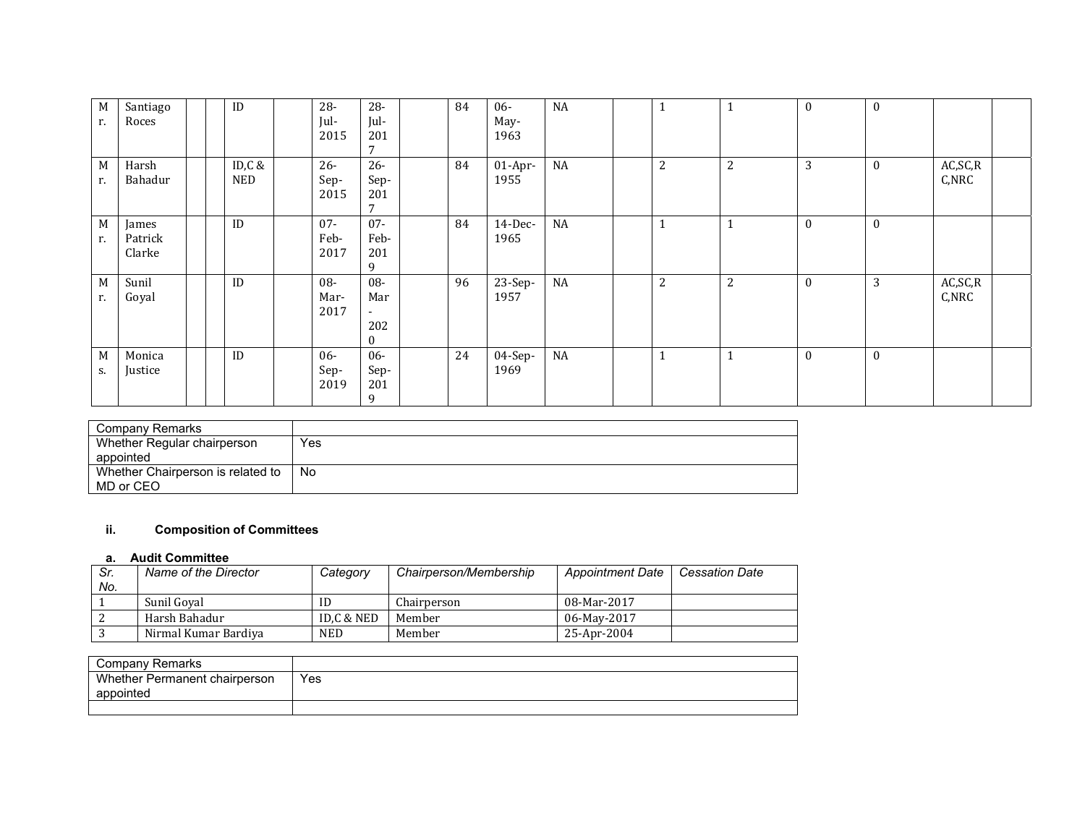| M<br>r. | Santiago<br>Roces          | ID            | 28-<br>Jul-<br>2015    | $28 -$<br>Jul-<br>201<br>$\mathbf{z}$ | 84 | $06 -$<br>May-<br>1963 | NA        | л              | 1              | $\bf{0}$     | $\bf{0}$         |                    |  |
|---------|----------------------------|---------------|------------------------|---------------------------------------|----|------------------------|-----------|----------------|----------------|--------------|------------------|--------------------|--|
| M<br>r. | Harsh<br>Bahadur           | ID,C &<br>NED | $26 -$<br>Sep-<br>2015 | $26 -$<br>Sep-<br>201<br>$\mathbf{r}$ | 84 | $01-Apr-$<br>1955      | NA        | $\overline{2}$ | $\overline{c}$ | 3            | $\boldsymbol{0}$ | AC, SC, R<br>C,NRC |  |
| М<br>r. | James<br>Patrick<br>Clarke | ID            | $07 -$<br>Feb-<br>2017 | $07 -$<br>Feb-<br>201<br>9            | 84 | $14$ -Dec-<br>1965     | <b>NA</b> | $\mathbf{1}$   | 1              | $\mathbf{0}$ | $\mathbf{0}$     |                    |  |
| М<br>r. | Sunil<br>Goyal             | ID            | 08-<br>Mar-<br>2017    | 08-<br>Mar<br>$\sim$<br>202<br>0      | 96 | 23-Sep-<br>1957        | NA        | $\overline{2}$ | 2              | $\mathbf{0}$ | 3                | AC, SC, R<br>C,NRC |  |
| M<br>S. | Monica<br>Justice          | ID            | $06-$<br>Sep-<br>2019  | 06-<br>Sep-<br>201<br>9               | 24 | 04-Sep-<br>1969        | NA        | $\mathbf{1}$   | $\mathbf{1}$   | $\mathbf{0}$ | $\theta$         |                    |  |

| Company Remarks                   |      |
|-----------------------------------|------|
| Whether Regular chairperson       | Yes  |
| appointed                         |      |
| Whether Chairperson is related to | ' No |
| MD or CEO                         |      |

# **ii. Composition of Committees**

#### **a. Audit Committee**

| Sr. | Name of the Director | Category   | Chairperson/Membership | <b>Appointment Date</b> | <b>Cessation Date</b> |
|-----|----------------------|------------|------------------------|-------------------------|-----------------------|
| No. |                      |            |                        |                         |                       |
|     | Sunil Goyal          | ID         | Chairperson            | 08-Mar-2017             |                       |
|     | Harsh Bahadur        | ID.C & NED | Member                 | 06-May-2017             |                       |
|     | Nirmal Kumar Bardiya | NED.       | Member                 | 25-Apr-2004             |                       |

| Company Remarks               |     |
|-------------------------------|-----|
| Whether Permanent chairperson | Yes |
| appointed                     |     |
|                               |     |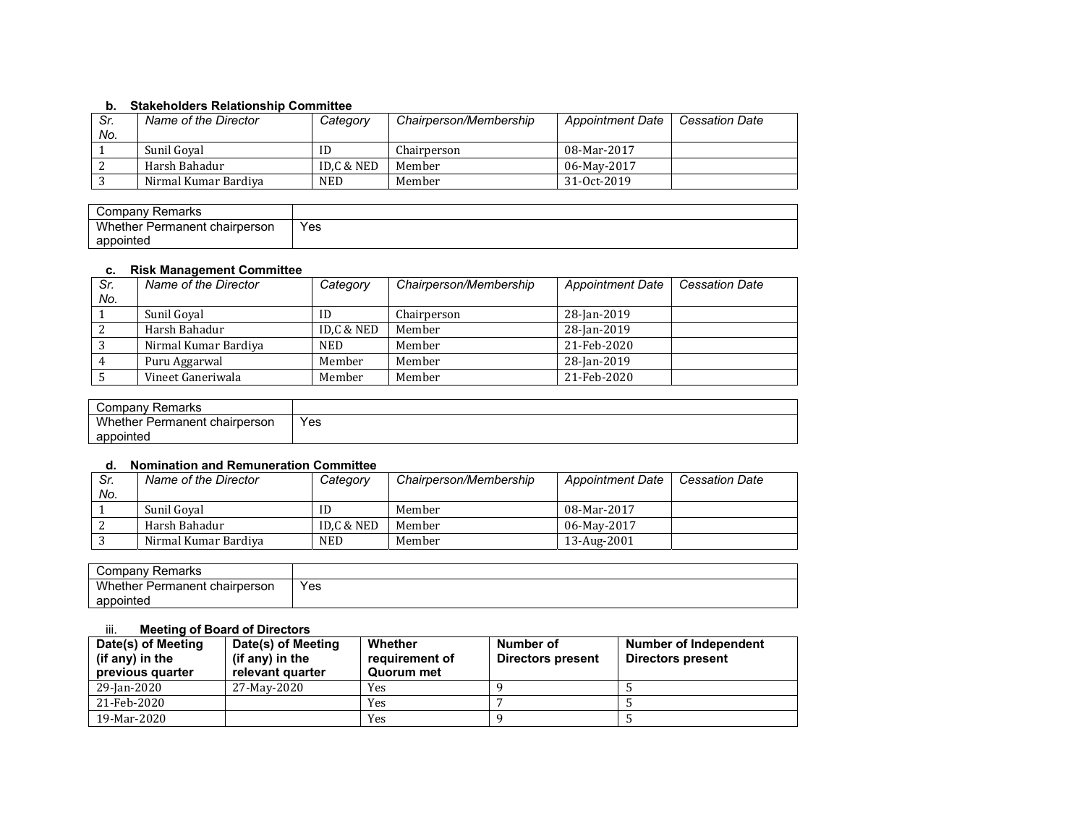# **b. Stakeholders Relationship Committee**

| Sr.<br>No. | Name of the Director | Category   | Chairperson/Membership | <b>Appointment Date</b> | <b>Cessation Date</b> |
|------------|----------------------|------------|------------------------|-------------------------|-----------------------|
|            | Sunil Goval          | ID         | Chairperson            | 08-Mar-2017             |                       |
|            | Harsh Bahadur        | ID.C & NED | Member                 | 06-May-2017             |                       |
|            | Nirmal Kumar Bardiya | NED        | Member                 | 31-0ct-2019             |                       |

| Company<br>Remarks                      |     |
|-----------------------------------------|-----|
| Whether<br>. chairperson<br>∵ Permanent | Yes |
| appointed                               |     |

# **c. Risk Management Committee**

| Sr.<br>No. | Name of the Director | Category   | Chairperson/Membership | <b>Appointment Date</b> | <b>Cessation Date</b> |
|------------|----------------------|------------|------------------------|-------------------------|-----------------------|
|            | Sunil Goval          | ID         | Chairperson            | 28-Jan-2019             |                       |
|            | Harsh Bahadur        | ID,C & NED | Member                 | 28-Jan-2019             |                       |
|            | Nirmal Kumar Bardiya | <b>NED</b> | Member                 | 21-Feb-2020             |                       |
|            | Puru Aggarwal        | Member     | Member                 | 28-Jan-2019             |                       |
|            | Vineet Ganeriwala    | Member     | Member                 | 21-Feb-2020             |                       |

| Company<br>Remarks                           |     |
|----------------------------------------------|-----|
| <b>Whether</b> F<br>: Permanent chairperson. | Yes |
| appointed                                    |     |

#### **d. Nomination and Remuneration Committee**

| Sr. | Name of the Director | Category   | Chairperson/Membership | <b>Appointment Date</b> | <b>Cessation Date</b> |
|-----|----------------------|------------|------------------------|-------------------------|-----------------------|
| No. |                      |            |                        |                         |                       |
|     | Sunil Goval          | ID         | Member                 | 08-Mar-2017             |                       |
|     | Harsh Bahadur        | ID.C & NED | Member                 | 06-May-2017             |                       |
|     | Nirmal Kumar Bardiya | <b>NED</b> | Member                 | 13-Aug-2001             |                       |

| Remarks<br>∵ompanvٽ           |     |
|-------------------------------|-----|
| Whether Permanent chairperson | Yes |
| appointed                     |     |

### iii. **Meeting of Board of Directors**

| Date(s) of Meeting<br>(if any) in the<br>previous quarter | Date(s) of Meeting<br>(if any) in the<br>relevant quarter | Whether<br>requirement of<br>Quorum met | Number of<br>Directors present | Number of Independent<br>Directors present |
|-----------------------------------------------------------|-----------------------------------------------------------|-----------------------------------------|--------------------------------|--------------------------------------------|
| 29-Jan-2020                                               | 27-May-2020                                               | Yes                                     |                                |                                            |
| 21-Feb-2020                                               |                                                           | Yes                                     |                                |                                            |
| 19-Mar-2020                                               |                                                           | Yes                                     |                                |                                            |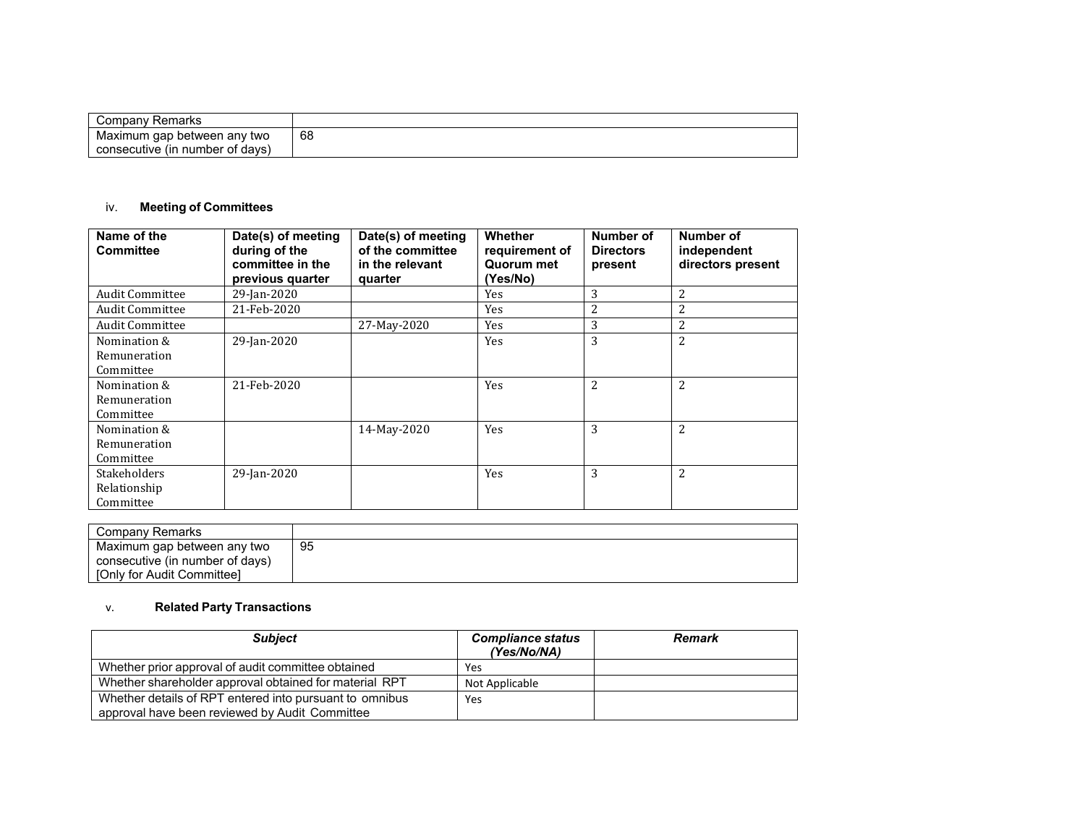| Companyٽ<br>Remarks              |              |
|----------------------------------|--------------|
| Maximum<br>ı gap between any two | 68<br>$\sim$ |
| consecutive (in number of days)  |              |

# iv. **Meeting of Committees**

| Name of the<br><b>Committee</b>                  | Date(s) of meeting<br>during of the<br>committee in the<br>previous quarter | Date(s) of meeting<br>of the committee<br>in the relevant<br>quarter | Whether<br>requirement of<br>Quorum met<br>(Yes/No) | Number of<br><b>Directors</b><br>present | Number of<br>independent<br>directors present |
|--------------------------------------------------|-----------------------------------------------------------------------------|----------------------------------------------------------------------|-----------------------------------------------------|------------------------------------------|-----------------------------------------------|
| <b>Audit Committee</b>                           | 29-Jan-2020                                                                 |                                                                      | Yes                                                 | 3                                        | 2                                             |
| <b>Audit Committee</b>                           | 21-Feb-2020                                                                 |                                                                      | Yes                                                 | 2                                        | 2                                             |
| <b>Audit Committee</b>                           |                                                                             | 27-May-2020                                                          | <b>Yes</b>                                          | 3                                        | 2                                             |
| Nomination &<br>Remuneration<br>Committee        | 29-Jan-2020                                                                 |                                                                      | Yes                                                 | 3                                        | 2                                             |
| Nomination &<br>Remuneration<br>Committee        | 21-Feb-2020                                                                 |                                                                      | Yes                                                 | 2                                        | 2                                             |
| Nomination &<br>Remuneration<br>Committee        |                                                                             | 14-May-2020                                                          | Yes                                                 | 3                                        | 2                                             |
| <b>Stakeholders</b><br>Relationship<br>Committee | 29-Jan-2020                                                                 |                                                                      | Yes                                                 | 3                                        | 2                                             |

| Company Remarks                 |    |
|---------------------------------|----|
| Maximum gap between any two     | 95 |
| consecutive (in number of days) |    |
| [Only for Audit Committee]      |    |

#### v.**Related Party Transactions**

| <b>Subject</b>                                          | <b>Compliance status</b><br>(Yes/No/NA) | <b>Remark</b> |
|---------------------------------------------------------|-----------------------------------------|---------------|
| Whether prior approval of audit committee obtained      | Yes                                     |               |
| Whether shareholder approval obtained for material RPT  | Not Applicable                          |               |
| Whether details of RPT entered into pursuant to omnibus | Yes                                     |               |
| approval have been reviewed by Audit Committee          |                                         |               |